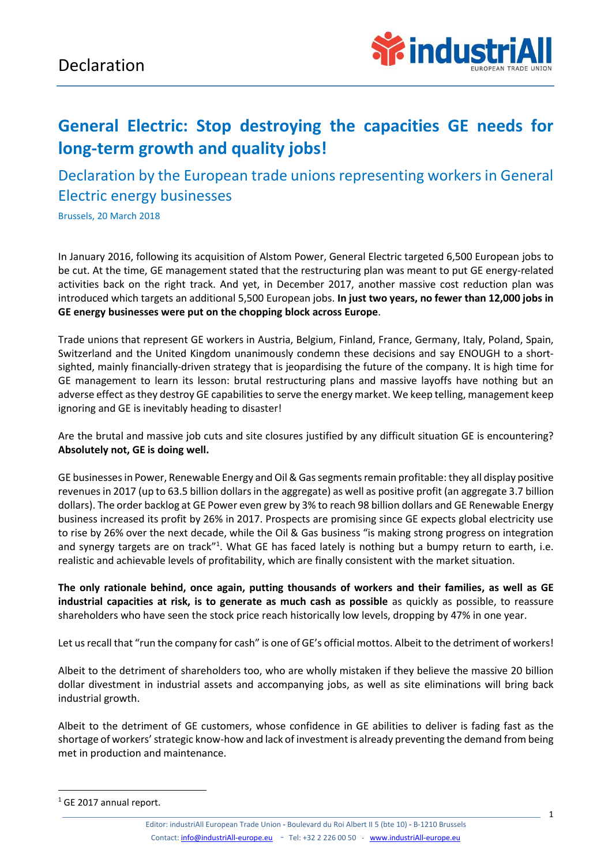

## **General Electric: Stop destroying the capacities GE needs for long-term growth and quality jobs!**

Declaration by the European trade unions representing workers in General Electric energy businesses

Brussels, 20 March 2018

In January 2016, following its acquisition of Alstom Power, General Electric targeted 6,500 European jobs to be cut. At the time, GE management stated that the restructuring plan was meant to put GE energy-related activities back on the right track. And yet, in December 2017, another massive cost reduction plan was introduced which targets an additional 5,500 European jobs. **In just two years, no fewer than 12,000 jobs in GE energy businesses were put on the chopping block across Europe**.

Trade unions that represent GE workers in Austria, Belgium, Finland, France, Germany, Italy, Poland, Spain, Switzerland and the United Kingdom unanimously condemn these decisions and say ENOUGH to a shortsighted, mainly financially-driven strategy that is jeopardising the future of the company. It is high time for GE management to learn its lesson: brutal restructuring plans and massive layoffs have nothing but an adverse effect as they destroy GE capabilities to serve the energy market. We keep telling, management keep ignoring and GE is inevitably heading to disaster!

Are the brutal and massive job cuts and site closures justified by any difficult situation GE is encountering? **Absolutely not, GE is doing well.** 

GE businesses in Power, Renewable Energy and Oil & Gas segments remain profitable: they all display positive revenues in 2017 (up to 63.5 billion dollars in the aggregate) as well as positive profit (an aggregate 3.7 billion dollars). The order backlog at GE Power even grew by 3% to reach 98 billion dollars and GE Renewable Energy business increased its profit by 26% in 2017. Prospects are promising since GE expects global electricity use to rise by 26% over the next decade, while the Oil & Gas business "is making strong progress on integration and synergy targets are on track"<sup>1</sup>. What GE has faced lately is nothing but a bumpy return to earth, i.e. realistic and achievable levels of profitability, which are finally consistent with the market situation.

**The only rationale behind, once again, putting thousands of workers and their families, as well as GE industrial capacities at risk, is to generate as much cash as possible** as quickly as possible, to reassure shareholders who have seen the stock price reach historically low levels, dropping by 47% in one year.

Let us recall that "run the company for cash" is one of GE's official mottos. Albeit to the detriment of workers!

Albeit to the detriment of shareholders too, who are wholly mistaken if they believe the massive 20 billion dollar divestment in industrial assets and accompanying jobs, as well as site eliminations will bring back industrial growth.

Albeit to the detriment of GE customers, whose confidence in GE abilities to deliver is fading fast as the shortage of workers' strategic know-how and lack of investment is already preventing the demand from being met in production and maintenance.

1

Editor: industriAll European Trade Union **-** Boulevard du Roi Albert II 5 (bte 10) **-** B-1210 Brussels Contact[: info@industriAll-europe.eu](mailto:info@industriAll-europe.eu) - Tel: +32 2 226 00 50 - [www.industriAll-europe.eu](http://www.industriall-europe.eu/)

<sup>&</sup>lt;sup>1</sup> GE 2017 annual report.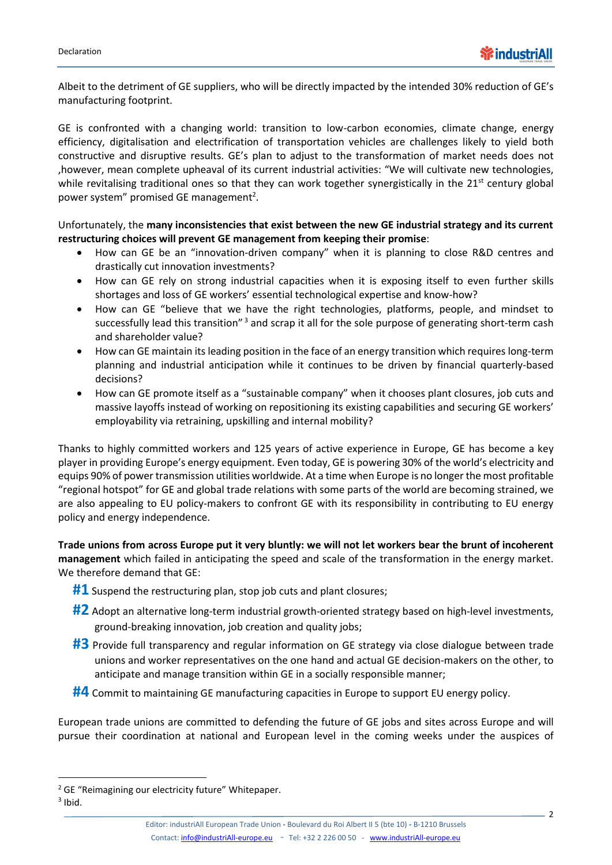Albeit to the detriment of GE suppliers, who will be directly impacted by the intended 30% reduction of GE's manufacturing footprint.

GE is confronted with a changing world: transition to low-carbon economies, climate change, energy efficiency, digitalisation and electrification of transportation vehicles are challenges likely to yield both constructive and disruptive results. GE's plan to adjust to the transformation of market needs does not ,however, mean complete upheaval of its current industrial activities: "We will cultivate new technologies, while revitalising traditional ones so that they can work together synergistically in the  $21<sup>st</sup>$  century global power system" promised GE management<sup>2</sup>.

Unfortunately, the **many inconsistencies that exist between the new GE industrial strategy and its current restructuring choices will prevent GE management from keeping their promise**:

- How can GE be an "innovation-driven company" when it is planning to close R&D centres and drastically cut innovation investments?
- How can GE rely on strong industrial capacities when it is exposing itself to even further skills shortages and loss of GE workers' essential technological expertise and know-how?
- How can GE "believe that we have the right technologies, platforms, people, and mindset to successfully lead this transition"<sup>3</sup> and scrap it all for the sole purpose of generating short-term cash and shareholder value?
- How can GE maintain its leading position in the face of an energy transition which requires long-term planning and industrial anticipation while it continues to be driven by financial quarterly-based decisions?
- How can GE promote itself as a "sustainable company" when it chooses plant closures, job cuts and massive layoffs instead of working on repositioning its existing capabilities and securing GE workers' employability via retraining, upskilling and internal mobility?

Thanks to highly committed workers and 125 years of active experience in Europe, GE has become a key player in providing Europe's energy equipment. Even today, GE is powering 30% of the world's electricity and equips 90% of power transmission utilities worldwide. At a time when Europe is no longer the most profitable "regional hotspot" for GE and global trade relations with some parts of the world are becoming strained, we are also appealing to EU policy-makers to confront GE with its responsibility in contributing to EU energy policy and energy independence.

**Trade unions from across Europe put it very bluntly: we will not let workers bear the brunt of incoherent management** which failed in anticipating the speed and scale of the transformation in the energy market. We therefore demand that GE:

- **#1** Suspend the restructuring plan, stop job cuts and plant closures;
- #2 Adopt an alternative long-term industrial growth-oriented strategy based on high-level investments, ground-breaking innovation, job creation and quality jobs;
- **#3** Provide full transparency and regular information on GE strategy via close dialogue between trade unions and worker representatives on the one hand and actual GE decision-makers on the other, to anticipate and manage transition within GE in a socially responsible manner;
- **#4** Commit to maintaining GE manufacturing capacities in Europe to support EU energy policy.

European trade unions are committed to defending the future of GE jobs and sites across Europe and will pursue their coordination at national and European level in the coming weeks under the auspices of

 $3$  Ibid.

 $\overline{a}$ 

<sup>&</sup>lt;sup>2</sup> GE "Reimagining our electricity future" Whitepaper.